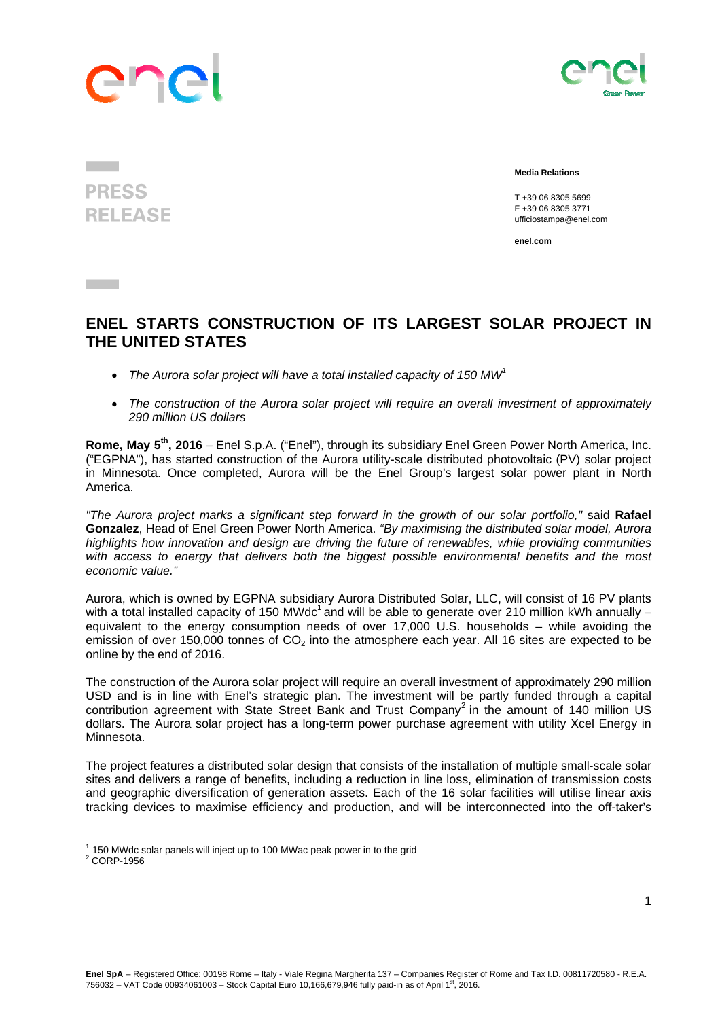

**PRESS** 

**RELEASE** 



 **Media Relations** 

 T +39 06 8305 5699 F +39 06 8305 3771 ufficiostampa@enel.com

**enel.com**

## **ENEL STARTS CONSTRUCTION OF ITS LARGEST SOLAR PROJECT IN THE UNITED STATES**

- *The Aurora solar project will have a total installed capacity of 150 MW1*
- *The construction of the Aurora solar project will require an overall investment of approximately 290 million US dollars*

**Rome, May 5th, 2016** *–* Enel S.p.A. ("Enel"), through its subsidiary Enel Green Power North America, Inc. ("EGPNA"), has started construction of the Aurora utility-scale distributed photovoltaic (PV) solar project in Minnesota. Once completed, Aurora will be the Enel Group's largest solar power plant in North America.

*"The Aurora project marks a significant step forward in the growth of our solar portfolio,"* said **Rafael Gonzalez**, Head of Enel Green Power North America. *"By maximising the distributed solar model, Aurora highlights how innovation and design are driving the future of renewables, while providing communities*  with access to energy that delivers both the biggest possible environmental benefits and the most *economic value."*

Aurora, which is owned by EGPNA subsidiary Aurora Distributed Solar, LLC, will consist of 16 PV plants with a total installed capacity of 150 MWdc<sup>1</sup> and will be able to generate over 210 million kWh annually – equivalent to the energy consumption needs of over 17,000 U.S. households – while avoiding the emission of over 150,000 tonnes of  $CO<sub>2</sub>$  into the atmosphere each year. All 16 sites are expected to be online by the end of 2016.

The construction of the Aurora solar project will require an overall investment of approximately 290 million USD and is in line with Enel's strategic plan. The investment will be partly funded through a capital contribution agreement with State Street Bank and Trust Company<sup>2</sup> in the amount of 140 million US dollars. The Aurora solar project has a long-term power purchase agreement with utility Xcel Energy in Minnesota.

The project features a distributed solar design that consists of the installation of multiple small-scale solar sites and delivers a range of benefits, including a reduction in line loss, elimination of transmission costs and geographic diversification of generation assets. Each of the 16 solar facilities will utilise linear axis tracking devices to maximise efficiency and production, and will be interconnected into the off-taker's

 

 $1$  150 MWdc solar panels will inject up to 100 MWac peak power in to the grid

 $2$  CORP-1956